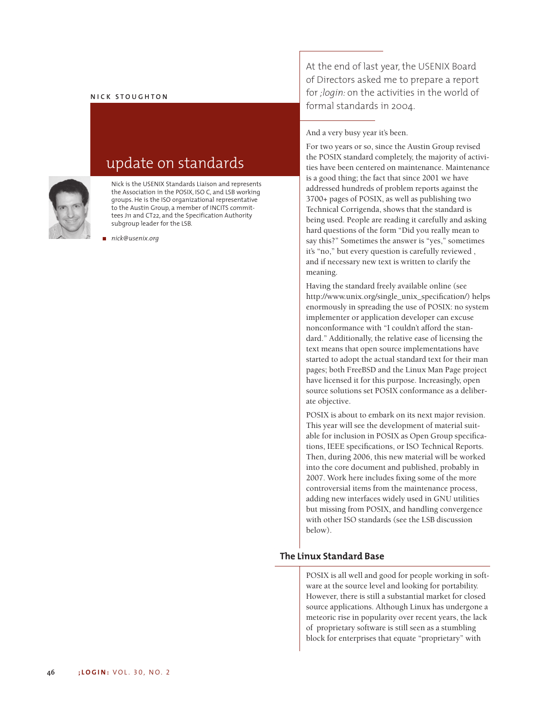## **NICK STOUGHTON**



update on standards

Nick is the USENIX Standards Liaison and represents the Association in the POSIX, ISO C, and LSB working groups. He is the ISO organizational representative to the Austin Group, a member of INCITS committees J11 and CT22, and the Specification Authority subgroup leader for the LSB.

*nick@usenix.org*

At the end of last year, the USENIX Board of Directors asked me to prepare a report for *;login:* on the activities in the world of formal standards in 2004.

And a very busy year it's been.

For two years or so, since the Austin Group revised the POSIX standard completely, the majority of activities have been centered on maintenance. Maintenance is a good thing; the fact that since 2001 we have addressed hundreds of problem reports against the 3700+ pages of POSIX, as well as publishing two Technical Corrigenda, shows that the standard is being used. People are reading it carefully and asking hard questions of the form "Did you really mean to say this?" Sometimes the answer is "yes," sometimes it's "no," but every question is carefully reviewed, and if necessary new text is written to clarify the meaning.

Having the standard freely available online (see http://www.unix.org/single\_unix\_specification/) helps enormously in spreading the use of POSIX: no system implementer or application developer can excuse nonconformance with "I couldn't afford the standard." Additionally, the relative ease of licensing the text means that open source implementations have started to adopt the actual standard text for their man pages; both FreeBSD and the Linux Man Page project have licensed it for this purpose. Increasingly, open source solutions set POSIX conformance as a deliberate objective.

POSIX is about to embark on its next major revision. This year will see the development of material suitable for inclusion in POSIX as Open Group specifications, IEEE specifications, or ISO Technical Reports. Then, during 2006, this new material will be worked into the core document and published, probably in 2007. Work here includes fixing some of the more controversial items from the maintenance process, adding new interfaces widely used in GNU utilities but missing from POSIX, and handling convergence with other ISO standards (see the LSB discussion below).

## **The Linux Standard Base**

POSIX is all well and good for people working in software at the source level and looking for portability. However, there is still a substantial market for closed source applications. Although Linux has undergone a meteoric rise in popularity over recent years, the lack of proprietary software is still seen as a stumbling block for enterprises that equate "proprietary" with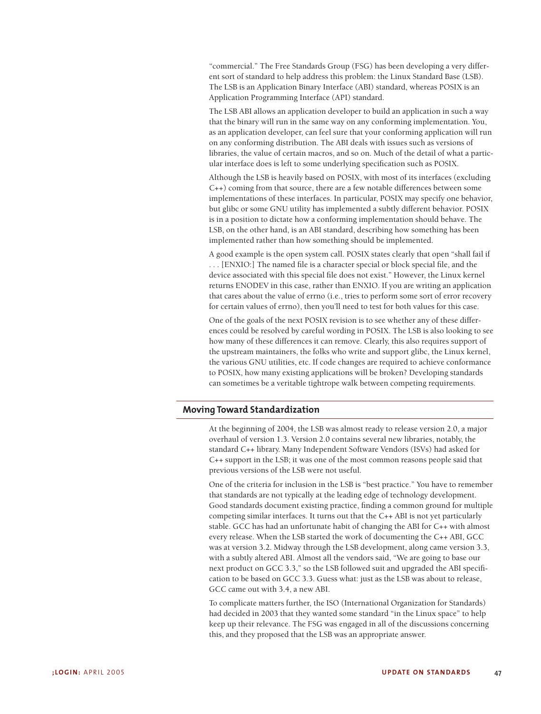"commercial." The Free Standards Group (FSG) has been developing a very different sort of standard to help address this problem: the Linux Standard Base (LSB). The LSB is an Application Binary Interface (ABI) standard, whereas POSIX is an Application Programming Interface (API) standard.

The LSB ABI allows an application developer to build an application in such a way that the binary will run in the same way on any conforming implementation. You, as an application developer, can feel sure that your conforming application will run on any conforming distribution. The ABI deals with issues such as versions of libraries, the value of certain macros, and so on. Much of the detail of what a particular interface does is left to some underlying specification such as POSIX.

Although the LSB is heavily based on POSIX, with most of its interfaces (excluding C++) coming from that source, there are a few notable differences between some implementations of these interfaces. In particular, POSIX may specify one behavior, but glibc or some GNU utility has implemented a subtly different behavior. POSIX is in a position to dictate how a conforming implementation should behave. The LSB, on the other hand, is an ABI standard, describing how something has been implemented rather than how something should be implemented.

A good example is the open system call. POSIX states clearly that open "shall fail if . . . [ENXIO:] The named file is a character special or block special file, and the device associated with this special file does not exist." However, the Linux kernel returns ENODEV in this case, rather than ENXIO. If you are writing an application that cares about the value of errno (i.e., tries to perform some sort of error recovery for certain values of errno), then you'll need to test for both values for this case.

One of the goals of the next POSIX revision is to see whether any of these differences could be resolved by careful wording in POSIX. The LSB is also looking to see how many of these differences it can remove. Clearly, this also requires support of the upstream maintainers, the folks who write and support glibc, the Linux kernel, the various GNU utilities, etc. If code changes are required to achieve conformance to POSIX, how many existing applications will be broken? Developing standards can sometimes be a veritable tightrope walk between competing requirements.

## **Moving Toward Standardization**

At the beginning of 2004, the LSB was almost ready to release version 2.0, a major overhaul of version 1.3. Version 2.0 contains several new libraries, notably, the standard C++ library. Many Independent Software Vendors (ISVs) had asked for C++ support in the LSB; it was one of the most common reasons people said that previous versions of the LSB were not useful.

One of the criteria for inclusion in the LSB is "best practice." You have to remember that standards are not typically at the leading edge of technology development. Good standards document existing practice, finding a common ground for multiple competing similar interfaces. It turns out that the C++ ABI is not yet particularly stable. GCC has had an unfortunate habit of changing the ABI for C++ with almost every release. When the LSB started the work of documenting the C++ ABI, GCC was at version 3.2. Midway through the LSB development, along came version 3.3, with a subtly altered ABI. Almost all the vendors said, "We are going to base our next product on GCC 3.3," so the LSB followed suit and upgraded the ABI specification to be based on GCC 3.3. Guess what: just as the LSB was about to release, GCC came out with 3.4, a new ABI.

To complicate matters further, the ISO (International Organization for Standards) had decided in 2003 that they wanted some standard "in the Linux space" to help keep up their relevance. The FSG was engaged in all of the discussions concerning this, and they proposed that the LSB was an appropriate answer.